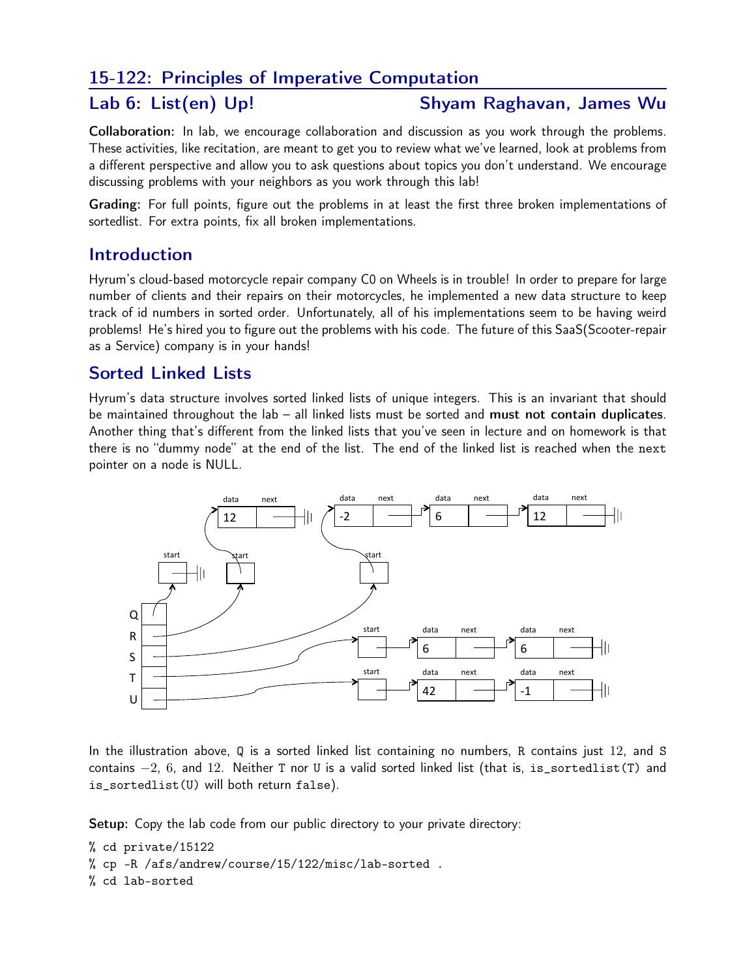# 15-122: Principles of Imperative Computation

### Lab 6: List(en) Up! Shyam Raghavan, James Wu

Collaboration: In lab, we encourage collaboration and discussion as you work through the problems. These activities, like recitation, are meant to get you to review what we've learned, look at problems from a different perspective and allow you to ask questions about topics you don't understand. We encourage discussing problems with your neighbors as you work through this lab!

Grading: For full points, figure out the problems in at least the first three broken implementations of sortedlist. For extra points, fix all broken implementations.

## Introduction

Hyrum's cloud-based motorcycle repair company C0 on Wheels is in trouble! In order to prepare for large number of clients and their repairs on their motorcycles, he implemented a new data structure to keep track of id numbers in sorted order. Unfortunately, all of his implementations seem to be having weird problems! He's hired you to figure out the problems with his code. The future of this SaaS(Scooter-repair as a Service) company is in your hands!

# Sorted Linked Lists

Hyrum's data structure involves sorted linked lists of unique integers. This is an invariant that should be maintained throughout the lab – all linked lists must be sorted and must not contain duplicates. Another thing that's different from the linked lists that you've seen in lecture and on homework is that there is no "dummy node" at the end of the list. The end of the linked list is reached when the next pointer on a node is NULL.



In the illustration above, Q is a sorted linked list containing no numbers, R contains just 12, and S contains  $-2$ , 6, and 12. Neither T nor U is a valid sorted linked list (that is, is\_sortedlist(T) and is\_sortedlist(U) will both return false).

Setup: Copy the lab code from our public directory to your private directory:

% cd private/15122

% cp -R /afs/andrew/course/15/122/misc/lab-sorted .

% cd lab-sorted